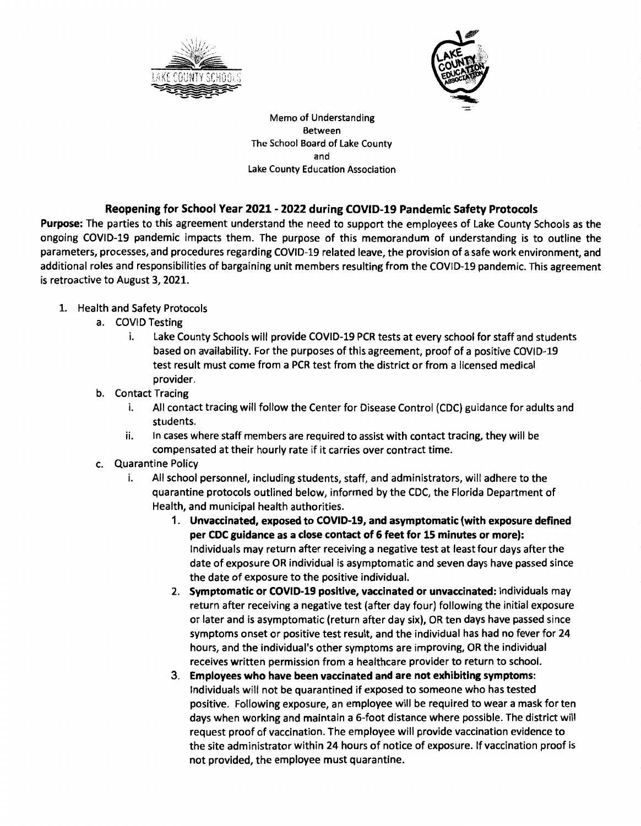



Memo of Understanding Between The School Board of Lake County and Lake County Education Association

## **Reopening for School Year 2021 - 2022 during COVID-19 Pandemic Safety Protocols**

**Purpose:** The parties to this agreement understand the need to support the employees of Lake County Schools as the ongoing COVID-19 pandemic impacts them. The purpose of this memorandum of understanding is to outline the parameters, processes, and procedures regarding COVID-19 related leave, the provision of a safe work environment, and additional roles and responsibilities of bargaining unit members resulting from the COVID-19 pandemic. This agreement is retroactive to August 3, 2021.

- 1. Health and Safety Protocols
	- a. COVID Testing
		- i. Lake County Schools will provide COVID-19 PCR tests at every school for staff and students based on availability. For the purposes of this agreement, proof of a positive COVID-19 test result must come from a PCR test from the district or from a licensed medical provider.
	- b. Contact Tracing
		- i. All contact tracing will follow the Center for Disease Control (CDC) guidance for adults and students.
		- ii. In cases where staff members are required to assist with contact tracing, they will be compensated at their hourly rate if it carries over contract time.
	- c. Quarantine Policy
		- i. All school personnel, including students, staff, and administrators, will adhere to the quarantine protocols outlined below, informed by the CDC, the Florida Department of Health, and municipal health authorities.
			- **1. Unvaccinated, exposed to COVID-19, and asymptomatic (with exposure defined per CDC guidance as a close contact of 6 feet for 15 minutes or more):**  Individuals may return after receiving a negative test at least four days after the date of exposure OR individual is asymptomatic and seven days have passed since the date of exposure to the positive individual.
			- 2. **Symptomatic or COVID-19 positive, vaccinated or unvaccinated:** Individuals may return after receiving a negative test (after day four) following the initial exposure or later and is asymptomatic (return after day six), OR ten days have passed since symptoms onset or positive test result, and the individual has had no fever for 24 hours, and the individual's other symptoms are improving, OR the individual receives written permission from a healthcare provider to return to school.
			- 3. **Employees who have been vaccinated and are not exhibiting symptoms:**  Individuals will not be quarantined if exposed to someone who has tested positive. Following exposure, an employee will be required to wear a mask for ten days when working and maintain a 6-foot distance where possible. The district will request proof of vaccination. The employee will provide vaccination evidence to the site administrator within 24 hours of notice of exposure. If vaccination proof is not provided, the employee must quarantine.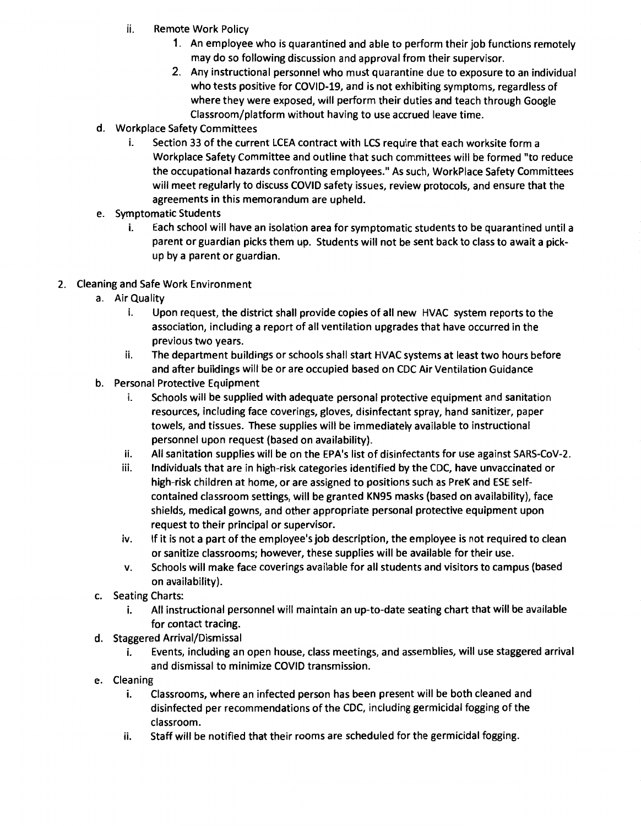- ii. Remote Work Policy
	- 1. An employee who is quarantined and able to perform their job functions remotely may do so following discussion and approval from their supervisor.
	- 2. Any instructional personnel who must quarantine due to exposure to an individual who tests positive for COVID-19, and is not exhibiting symptoms, regardless of where they were exposed, will perform their duties and teach through Google Classroom/platform without having to use accrued leave time.
- d. Workplace Safety Committees
	- i. Section 33 of the current LCEA contract with LCS require that each worksite form a Workplace Safety Committee and outline that such committees will be formed "to reduce the occupational hazards confronting employees." As such, WorkPlace Safety Committees will meet regularly to discuss COVID safety issues, review protocols, and ensure that the agreements in this memorandum are upheld.
- e. Symptomatic Students
	- i. Each school will have an isolation area for symptomatic students to be quarantined until a parent or guardian picks them up. Students will not be sent back to class to await a pickup by a parent or guardian.
- 2. Cleaning and Safe Work Environment
	- a. Air Quality
		- i. Upon request, the district shall provide copies of all new HVAC system reports to the association, including a report of all ventilation upgrades that have occurred in the previous two years.
		- ii. The department buildings or schools shall start HVAC systems at least two hours before and after buildings will be or are occupied based on CDC Air Ventilation Guidance
	- b. Personal Protective Equipment
		- i. Schools will be supplied with adequate personal protective equipment and sanitation resources, including face coverings, gloves, disinfectant spray, hand sanitizer, paper towels, and tissues. These supplies will be immediately available to instructional personnel upon request (based on availability).
		- ii. All sanitation supplies will be on the EPA's list of disinfectants for use against SARS-CoV-2.
		- iii. Individuals that are in high-risk categories identified by the CDC, have unvaccinated or high-risk children at home, or are assigned to positions such as PreK and ESE selfcontained classroom settings, will be granted KN95 masks (based on availability), face shields, medical gowns, and other appropriate personal protective equipment upon request to their principal or supervisor.
		- iv. If it is not a part of the employee's job description, the employee is not required to clean or sanitize classrooms; however, these supplies will be available for their use.
		- v. Schools will make face coverings available for all students and visitors to campus (based on availability).
	- c. Seating Charts:
		- i. All instructional personnel will maintain an up-to-date seating chart that will be available for contact tracing.
	- d. Staggered Arrival/Dismissal
		- i. Events, including an open house, class meetings, and assemblies, will use staggered arrival and dismissal to minimize COVID transmission.
	- e. Cleaning
		- i. Classrooms, where an infected person has been present will be both cleaned and disinfected per recommendations of the CDC, including germicidal fogging of the classroom.
		- ii. Staff will be notified that their rooms are scheduled for the germicidal fogging.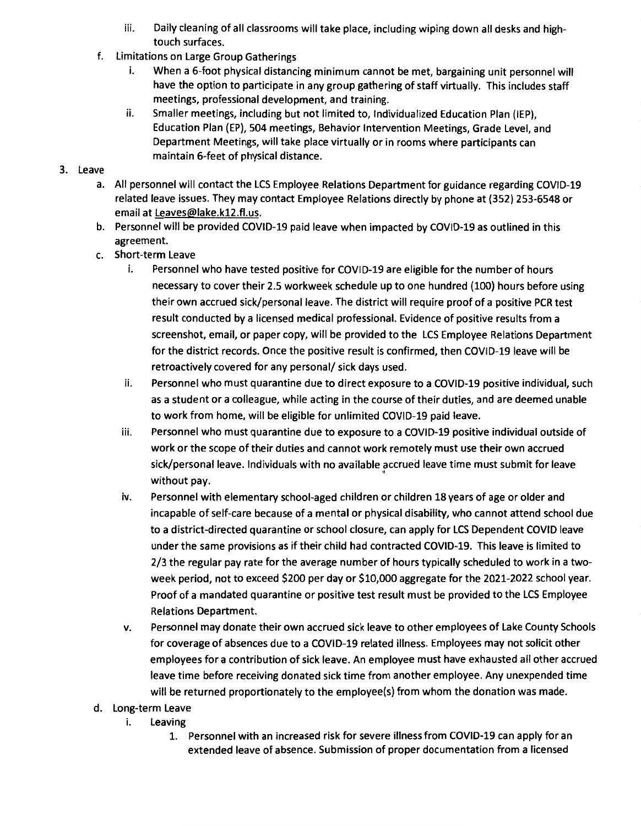- iii. Daily cleaning of all classrooms will take place, including wiping down all desks and hightouch surfaces.
- f. Limitations on Large Group Gatherings
	- i. When a 6-foot physical distancing minimum cannot be met, bargaining unit personnel will have the option to participate in any group gathering of staff virtually. This includes staff meetings, professional development, and training.
	- ii. Smaller meetings, including but not limited to, Individualized Education Plan (IEP), Education Plan (EP), 504 meetings, Behavior Intervention Meetings, Grade Level, and Department Meetings, will take place virtually or in rooms where participants can maintain 6-feet of physical distance.

## 3. Leave

- a. All personnel will contact the LCS Employee Relations Department for guidance regarding COVID-19 related leave issues. They may contact Employee Relations directly by phone at (352) 253-6548 or email at leaves@lake.k12.fl.us.
- b. Personnel will be provided COVID-19 paid leave when impacted by COVID-19 as outlined in this agreement.
- c. Short-term Leave
	- i. Personnel who have tested positive for COVID-19 are eligible for the number of hours necessary to cover their 2.5 workweek schedule up to one hundred (100) hours before using their own accrued sick/personal leave. The district will require proof of a positive PCR test result conducted by a licensed medical professional. Evidence of positive results from a screenshot, email, or paper copy, will be provided to the LCS Employee Relations Department for the district records. Once the positive result is confirmed, then COVID-19 leave will be retroactively covered for any personal/ sick days used.
	- ii. Personnel who must quarantine due to direct exposure to a COVID-19 positive individual, such as a student or a colleague, while acting in the course of their duties, and are deemed unable to work from home, will be eligible for unlimited COVID-19 paid leave.
	- iii. Personnel who must quarantine due to exposure to a COVID-19 positive individual outside of work or the scope of their duties and cannot work remotely must use their own accrued sick/personal leave. Individuals with no available accrued leave time must submit for leave without pay.
	- iv. Personnel with elementary school-aged children or children 18 years of age or older and incapable of self-care because of a mental or physical disability, who cannot attend school due to a district-directed quarantine or school closure, can apply for LCS Dependent COVID leave under the same provisions as if their child had contracted COVID-19. This leave is limited to 2/3 the regular pay rate for the average number of hours typically scheduled to work in a twoweek period, not to exceed \$200 per day or \$10,000 aggregate for the 2021-2022 school year. Proof of a mandated quarantine or positive test result must be provided to the LCS Employee Relations Department.
	- v. Personnel may donate their own accrued sick leave to other employees of Lake County Schools for coverage of absences due to a COVID-19 related illness. Employees may not solicit other employees for a contribution of sick leave. An employee must have exhausted all other accrued leave time before receiving donated sick time from another employee. Any unexpended time will be returned proportionately to the employee(s) from whom the donation was made.

## d. Long-term Leave

- i. Leaving
	- 1. Personnel with an increased risk for severe illness from COVID-19 can apply for an extended leave of absence. Submission of proper documentation from a licensed